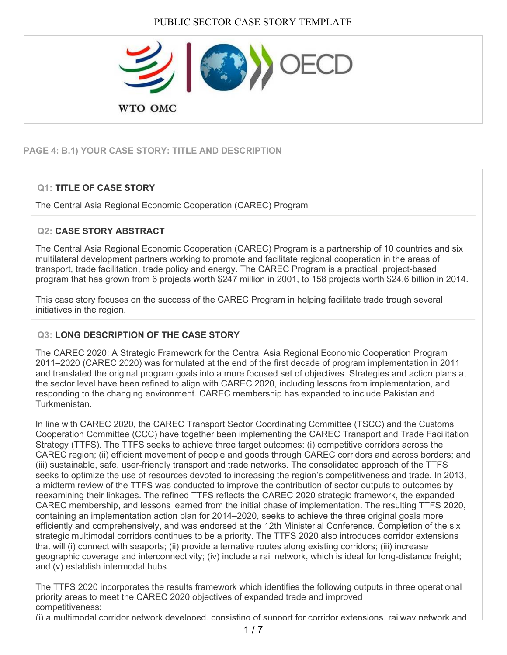

# **PAGE 4: B.1) YOUR CASE STORY: TITLE AND DESCRIPTION**

# **Q1: TITLE OF CASE STORY**

The Central Asia Regional Economic Cooperation (CAREC) Program

### **Q2: CASE STORY ABSTRACT**

The Central Asia Regional Economic Cooperation (CAREC) Program is a partnership of 10 countries and six multilateral development partners working to promote and facilitate regional cooperation in the areas of transport, trade facilitation, trade policy and energy. The CAREC Program is a practical, project-based program that has grown from 6 projects worth \$247 million in 2001, to 158 projects worth \$24.6 billion in 2014.

This case story focuses on the success of the CAREC Program in helping facilitate trade trough several initiatives in the region.

# **Q3: LONG DESCRIPTION OF THE CASE STORY**

The CAREC 2020: A Strategic Framework for the Central Asia Regional Economic Cooperation Program 2011–2020 (CAREC 2020) was formulated at the end of the first decade of program implementation in 2011 and translated the original program goals into a more focused set of objectives. Strategies and action plans at the sector level have been refined to align with CAREC 2020, including lessons from implementation, and responding to the changing environment. CAREC membership has expanded to include Pakistan and Turkmenistan.

In line with CAREC 2020, the CAREC Transport Sector Coordinating Committee (TSCC) and the Customs Cooperation Committee (CCC) have together been implementing the CAREC Transport and Trade Facilitation Strategy (TTFS). The TTFS seeks to achieve three target outcomes: (i) competitive corridors across the CAREC region; (ii) efficient movement of people and goods through CAREC corridors and across borders; and (iii) sustainable, safe, user-friendly transport and trade networks. The consolidated approach of the TTFS seeks to optimize the use of resources devoted to increasing the region's competitiveness and trade. In 2013, a midterm review of the TTFS was conducted to improve the contribution of sector outputs to outcomes by reexamining their linkages. The refined TTFS reflects the CAREC 2020 strategic framework, the expanded CAREC membership, and lessons learned from the initial phase of implementation. The resulting TTFS 2020, containing an implementation action plan for 2014–2020, seeks to achieve the three original goals more efficiently and comprehensively, and was endorsed at the 12th Ministerial Conference. Completion of the six strategic multimodal corridors continues to be a priority. The TTFS 2020 also introduces corridor extensions that will (i) connect with seaports; (ii) provide alternative routes along existing corridors; (iii) increase geographic coverage and interconnectivity; (iv) include a rail network, which is ideal for long-distance freight; and (v) establish intermodal hubs.

The TTFS 2020 incorporates the results framework which identifies the following outputs in three operational priority areas to meet the CAREC 2020 objectives of expanded trade and improved competitiveness:

(i) a multimodal corridor network developed, consisting of support for corridor extensions, railway network and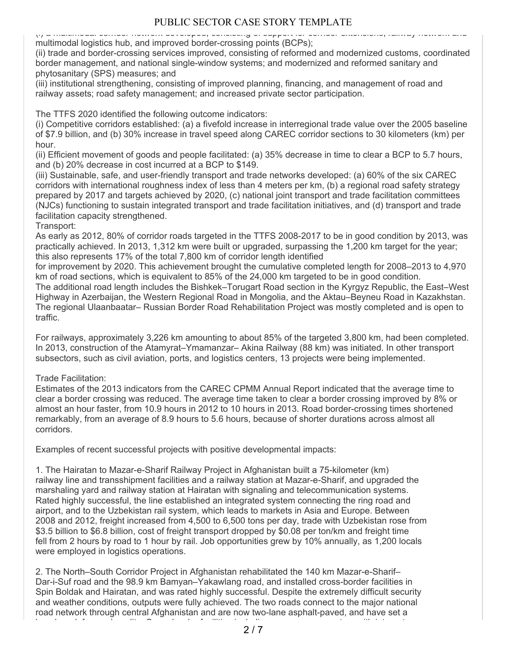(i) a multimodal corridor network developed, consisting of support for corridor extensions, railway network and multimodal logistics hub, and improved border-crossing points (BCPs);

(ii) trade and border-crossing services improved, consisting of reformed and modernized customs, coordinated border management, and national single-window systems; and modernized and reformed sanitary and phytosanitary (SPS) measures; and

(iii) institutional strengthening, consisting of improved planning, financing, and management of road and railway assets; road safety management; and increased private sector participation.

The TTFS 2020 identified the following outcome indicators:

(i) Competitive corridors established: (a) a fivefold increase in interregional trade value over the 2005 baseline of \$7.9 billion, and (b) 30% increase in travel speed along CAREC corridor sections to 30 kilometers (km) per hour.

(ii) Efficient movement of goods and people facilitated: (a) 35% decrease in time to clear a BCP to 5.7 hours, and (b) 20% decrease in cost incurred at a BCP to \$149.

(iii) Sustainable, safe, and user-friendly transport and trade networks developed: (a) 60% of the six CAREC corridors with international roughness index of less than 4 meters per km, (b) a regional road safety strategy prepared by 2017 and targets achieved by 2020, (c) national joint transport and trade facilitation committees (NJCs) functioning to sustain integrated transport and trade facilitation initiatives, and (d) transport and trade facilitation capacity strengthened.

Transport:

As early as 2012, 80% of corridor roads targeted in the TTFS 2008-2017 to be in good condition by 2013, was practically achieved. In 2013, 1,312 km were built or upgraded, surpassing the 1,200 km target for the year; this also represents 17% of the total 7,800 km of corridor length identified

for improvement by 2020. This achievement brought the cumulative completed length for 2008–2013 to 4,970 km of road sections, which is equivalent to 85% of the 24,000 km targeted to be in good condition.

The additional road length includes the Bishkek–Torugart Road section in the Kyrgyz Republic, the East–West Highway in Azerbaijan, the Western Regional Road in Mongolia, and the Aktau–Beyneu Road in Kazakhstan. The regional Ulaanbaatar– Russian Border Road Rehabilitation Project was mostly completed and is open to traffic.

For railways, approximately 3,226 km amounting to about 85% of the targeted 3,800 km, had been completed. In 2013, construction of the Atamyrat–Ymamanzar– Akina Railway (88 km) was initiated. In other transport subsectors, such as civil aviation, ports, and logistics centers, 13 projects were being implemented.

Trade Facilitation:

Estimates of the 2013 indicators from the CAREC CPMM Annual Report indicated that the average time to clear a border crossing was reduced. The average time taken to clear a border crossing improved by 8% or almost an hour faster, from 10.9 hours in 2012 to 10 hours in 2013. Road border-crossing times shortened remarkably, from an average of 8.9 hours to 5.6 hours, because of shorter durations across almost all corridors.

Examples of recent successful projects with positive developmental impacts:

1. The Hairatan to Mazar-e-Sharif Railway Project in Afghanistan built a 75-kilometer (km) railway line and transshipment facilities and a railway station at Mazar-e-Sharif, and upgraded the marshaling yard and railway station at Hairatan with signaling and telecommunication systems. Rated highly successful, the line established an integrated system connecting the ring road and airport, and to the Uzbekistan rail system, which leads to markets in Asia and Europe. Between 2008 and 2012, freight increased from 4,500 to 6,500 tons per day, trade with Uzbekistan rose from \$3.5 billion to \$6.8 billion, cost of freight transport dropped by \$0.08 per ton/km and freight time fell from 2 hours by road to 1 hour by rail. Job opportunities grew by 10% annually, as 1,200 locals were employed in logistics operations.

2. The North–South Corridor Project in Afghanistan rehabilitated the 140 km Mazar-e-Sharif– Dar-i-Suf road and the 98.9 km Bamyan–Yakawlang road, and installed cross-border facilities in Spin Boldak and Hairatan, and was rated highly successful. Despite the extremely difficult security and weather conditions, outputs were fully achieved. The two roads connect to the major national road network through central Afghanistan and are now two-lane asphalt-paved, and have set a benchmark for road quality. Cross-border facilities including scanners, computers with internet 2 / 7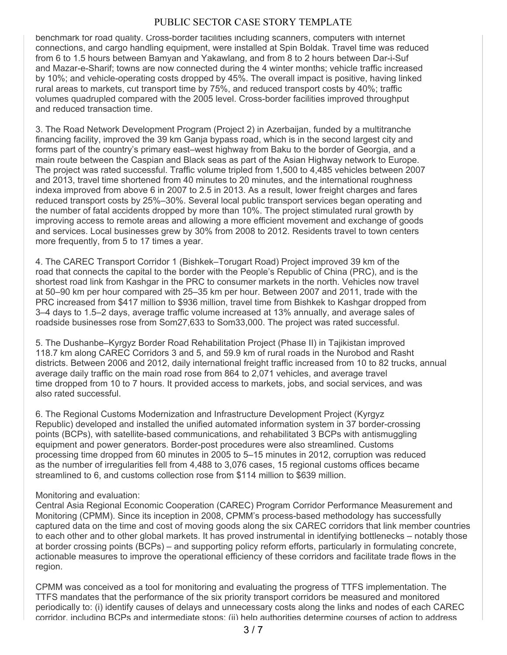benchmark for road quality. Cross-border facilities including scanners, computers with internet connections, and cargo handling equipment, were installed at Spin Boldak. Travel time was reduced from 6 to 1.5 hours between Bamyan and Yakawlang, and from 8 to 2 hours between Dar-i-Suf and Mazar-e-Sharif; towns are now connected during the 4 winter months; vehicle traffic increased by 10%; and vehicle-operating costs dropped by 45%. The overall impact is positive, having linked rural areas to markets, cut transport time by 75%, and reduced transport costs by 40%; traffic volumes quadrupled compared with the 2005 level. Cross-border facilities improved throughput and reduced transaction time.

3. The Road Network Development Program (Project 2) in Azerbaijan, funded by a multitranche financing facility, improved the 39 km Ganja bypass road, which is in the second largest city and forms part of the country's primary east–west highway from Baku to the border of Georgia, and a main route between the Caspian and Black seas as part of the Asian Highway network to Europe. The project was rated successful. Traffic volume tripled from 1,500 to 4,485 vehicles between 2007 and 2013, travel time shortened from 40 minutes to 20 minutes, and the international roughness indexa improved from above 6 in 2007 to 2.5 in 2013. As a result, lower freight charges and fares reduced transport costs by 25%–30%. Several local public transport services began operating and the number of fatal accidents dropped by more than 10%. The project stimulated rural growth by improving access to remote areas and allowing a more efficient movement and exchange of goods and services. Local businesses grew by 30% from 2008 to 2012. Residents travel to town centers more frequently, from 5 to 17 times a year.

4. The CAREC Transport Corridor 1 (Bishkek–Torugart Road) Project improved 39 km of the road that connects the capital to the border with the People's Republic of China (PRC), and is the shortest road link from Kashgar in the PRC to consumer markets in the north. Vehicles now travel at 50–90 km per hour compared with 25–35 km per hour. Between 2007 and 2011, trade with the PRC increased from \$417 million to \$936 million, travel time from Bishkek to Kashgar dropped from 3–4 days to 1.5–2 days, average traffic volume increased at 13% annually, and average sales of roadside businesses rose from Som27,633 to Som33,000. The project was rated successful.

5. The Dushanbe–Kyrgyz Border Road Rehabilitation Project (Phase II) in Tajikistan improved 118.7 km along CAREC Corridors 3 and 5, and 59.9 km of rural roads in the Nurobod and Rasht districts. Between 2006 and 2012, daily international freight traffic increased from 10 to 82 trucks, annual average daily traffic on the main road rose from 864 to 2,071 vehicles, and average travel time dropped from 10 to 7 hours. It provided access to markets, jobs, and social services, and was also rated successful.

6. The Regional Customs Modernization and Infrastructure Development Project (Kyrgyz Republic) developed and installed the unified automated information system in 37 border-crossing points (BCPs), with satellite-based communications, and rehabilitated 3 BCPs with antismuggling equipment and power generators. Border-post procedures were also streamlined. Customs processing time dropped from 60 minutes in 2005 to 5–15 minutes in 2012, corruption was reduced as the number of irregularities fell from 4,488 to 3,076 cases, 15 regional customs offices became streamlined to 6, and customs collection rose from \$114 million to \$639 million.

#### Monitoring and evaluation:

Central Asia Regional Economic Cooperation (CAREC) Program Corridor Performance Measurement and Monitoring (CPMM). Since its inception in 2008, CPMM's process-based methodology has successfully captured data on the time and cost of moving goods along the six CAREC corridors that link member countries to each other and to other global markets. It has proved instrumental in identifying bottlenecks – notably those at border crossing points (BCPs) – and supporting policy reform efforts, particularly in formulating concrete, actionable measures to improve the operational efficiency of these corridors and facilitate trade flows in the region.

CPMM was conceived as a tool for monitoring and evaluating the progress of TTFS implementation. The TTFS mandates that the performance of the six priority transport corridors be measured and monitored periodically to: (i) identify causes of delays and unnecessary costs along the links and nodes of each CAREC corridor, including BCPs and intermediate stops; (ii) help authorities determine courses of action to address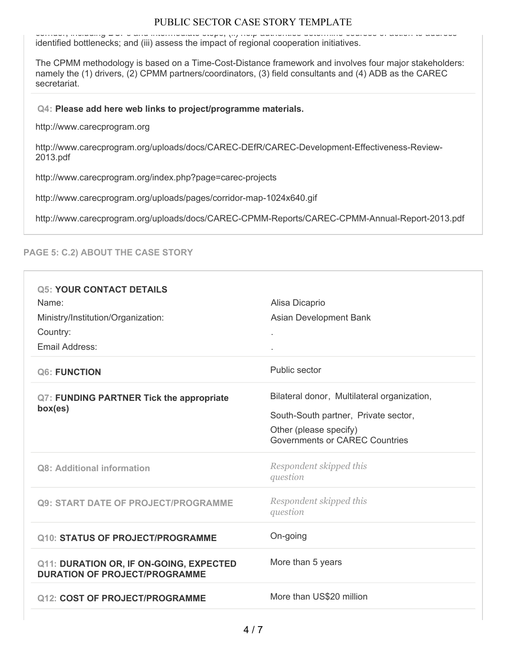corridor, including BCPs and intermediate stops; (ii) help authorities determine courses of action to address identified bottlenecks; and (iii) assess the impact of regional cooperation initiatives.

The CPMM methodology is based on a Time-Cost-Distance framework and involves four major stakeholders: namely the (1) drivers, (2) CPMM partners/coordinators, (3) field consultants and (4) ADB as the CAREC secretariat.

#### **Q4: Please add here web links to project/programme materials.**

http://www.carecprogram.org

http://www.carecprogram.org/uploads/docs/CAREC-DEfR/CAREC-Development-Effectiveness-Review-2013.pdf

http://www.carecprogram.org/index.php?page=carec-projects

http://www.carecprogram.org/uploads/pages/corridor-map-1024x640.gif

http://www.carecprogram.org/uploads/docs/CAREC-CPMM-Reports/CAREC-CPMM-Annual-Report-2013.pdf

# **PAGE 5: C.2) ABOUT THE CASE STORY**

| <b>Q5: YOUR CONTACT DETAILS</b><br>Name:<br>Ministry/Institution/Organization:<br>Country:<br>Email Address: | Alisa Dicaprio<br>Asian Development Bank<br>$\epsilon$                                                                                          |
|--------------------------------------------------------------------------------------------------------------|-------------------------------------------------------------------------------------------------------------------------------------------------|
| Q6: FUNCTION                                                                                                 | Public sector                                                                                                                                   |
| <b>Q7: FUNDING PARTNER Tick the appropriate</b><br>box(es)                                                   | Bilateral donor, Multilateral organization,<br>South-South partner, Private sector,<br>Other (please specify)<br>Governments or CAREC Countries |
| <b>Q8: Additional information</b>                                                                            | Respondent skipped this<br>question                                                                                                             |
| <b>Q9: START DATE OF PROJECT/PROGRAMME</b>                                                                   | Respondent skipped this<br>question                                                                                                             |
| <b>Q10: STATUS OF PROJECT/PROGRAMME</b>                                                                      | On-going                                                                                                                                        |
| <b>Q11: DURATION OR, IF ON-GOING, EXPECTED</b><br><b>DURATION OF PROJECT/PROGRAMME</b>                       | More than 5 years                                                                                                                               |
| <b>Q12: COST OF PROJECT/PROGRAMME</b>                                                                        | More than US\$20 million                                                                                                                        |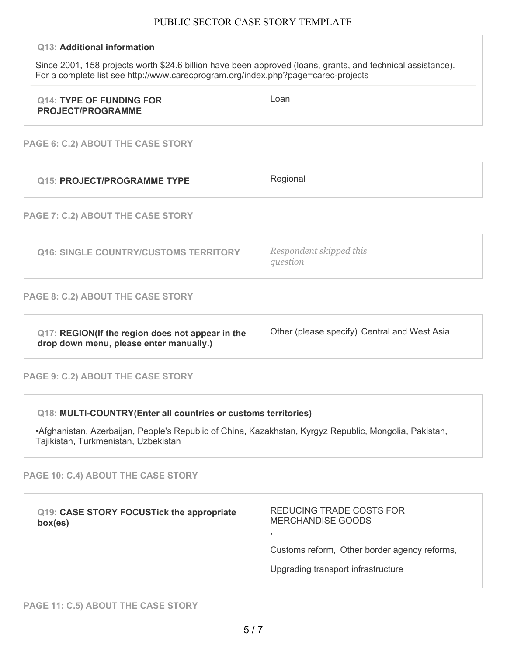#### **Q13: Additional information**

Since 2001, 158 projects worth \$24.6 billion have been approved (loans, grants, and technical assistance). For a complete list see http://www.carecprogram.org/index.php?page=carec-projects

| <b>Q14: TYPE OF FUNDING FOR</b><br><b>PROJECT/PROGRAMME</b> | Loan |
|-------------------------------------------------------------|------|
|                                                             |      |

**PAGE 6: C.2) ABOUT THE CASE STORY**

| <b>Q15: PROJECT/PROGRAMME TYPE</b>                                                          | Regional                                     |
|---------------------------------------------------------------------------------------------|----------------------------------------------|
| PAGE 7: C.2) ABOUT THE CASE STORY                                                           |                                              |
| Q16: SINGLE COUNTRY/CUSTOMS TERRITORY                                                       | Respondent skipped this<br>question          |
| <b>PAGE 8: C.2) ABOUT THE CASE STORY</b>                                                    |                                              |
| Q17: REGION(If the region does not appear in the<br>drop down menu, please enter manually.) | Other (please specify) Central and West Asia |

#### **PAGE 9: C.2) ABOUT THE CASE STORY**

**Q18: MULTI-COUNTRY(Enter all countries or customs territories)**

•Afghanistan, Azerbaijan, People's Republic of China, Kazakhstan, Kyrgyz Republic, Mongolia, Pakistan, Tajikistan, Turkmenistan, Uzbekistan

**PAGE 10: C.4) ABOUT THE CASE STORY**

| Q19: CASE STORY FOCUSTick the appropriate<br>box(es) | REDUCING TRADE COSTS FOR<br>MERCHANDISE GOODS |
|------------------------------------------------------|-----------------------------------------------|
|                                                      | Customs reform, Other border agency reforms,  |
|                                                      | Upgrading transport infrastructure            |
|                                                      |                                               |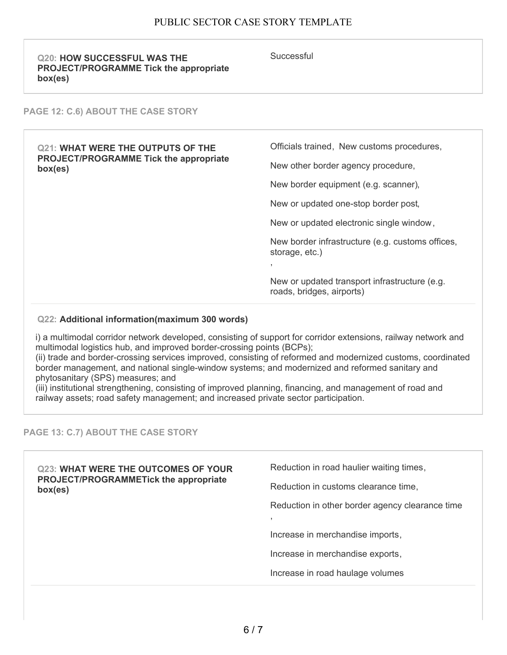| <b>Q20: HOW SUCCESSFUL WAS THE</b><br><b>PROJECT/PROGRAMME Tick the appropriate</b><br>box(es)       | Successful                                                                           |
|------------------------------------------------------------------------------------------------------|--------------------------------------------------------------------------------------|
| <b>PAGE 12: C.6) ABOUT THE CASE STORY</b>                                                            |                                                                                      |
| <b>Q21: WHAT WERE THE OUTPUTS OF THE</b><br><b>PROJECT/PROGRAMME Tick the appropriate</b><br>box(es) | Officials trained, New customs procedures,                                           |
|                                                                                                      | New other border agency procedure,                                                   |
|                                                                                                      | New border equipment (e.g. scanner),                                                 |
|                                                                                                      | New or updated one-stop border post,                                                 |
|                                                                                                      | New or updated electronic single window,                                             |
|                                                                                                      | New border infrastructure (e.g. customs offices,<br>storage, etc.)<br>$\overline{2}$ |
|                                                                                                      | New or updated transport infrastructure (e.g.<br>roads, bridges, airports)           |

#### **Q22: Additional information(maximum 300 words)**

i) a multimodal corridor network developed, consisting of support for corridor extensions, railway network and multimodal logistics hub, and improved border-crossing points (BCPs);

(ii) trade and border-crossing services improved, consisting of reformed and modernized customs, coordinated border management, and national single-window systems; and modernized and reformed sanitary and phytosanitary (SPS) measures; and

(iii) institutional strengthening, consisting of improved planning, financing, and management of road and railway assets; road safety management; and increased private sector participation.

#### **PAGE 13: C.7) ABOUT THE CASE STORY**

**Q23: WHAT WERE THE OUTCOMES OF YOUR PROJECT/PROGRAMMETick the appropriate box(es)** Reduction in road haulier waiting times, Reduction in customs clearance time, Reduction in other border agency clearance time , Increase in merchandise imports, Increase in merchandise exports, Increase in road haulage volumes